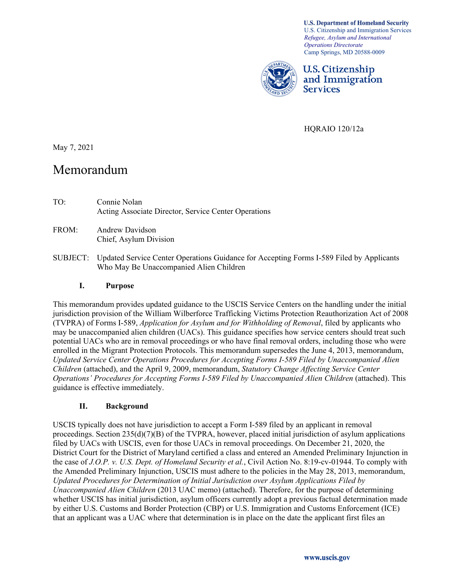**U.S. Department of Homeland Security** U.S. Citizenship and Immigration Services *Refugee, Asylum and International Operations Directorate* Camp Springs, MD 20588-0009



**U.S. Citizenship** and Immigration **Services** 

HQRAIO 120/12a

May 7, 2021

# Memorandum

- TO: Connie Nolan Acting Associate Director, Service Center Operations
- FROM: Andrew Davidson Chief, Asylum Division
- SUBJECT: Updated Service Center Operations Guidance for Accepting Forms I-589 Filed by Applicants Who May Be Unaccompanied Alien Children

#### **I. Purpose**

This memorandum provides updated guidance to the USCIS Service Centers on the handling under the initial jurisdiction provision of the William Wilberforce Trafficking Victims Protection Reauthorization Act of 2008 (TVPRA) of Forms I-589, *Application for Asylum and for Withholding of Removal*, filed by applicants who may be unaccompanied alien children (UACs). This guidance specifies how service centers should treat such potential UACs who are in removal proceedings or who have final removal orders, including those who were enrolled in the Migrant Protection Protocols. This memorandum supersedes the June 4, 2013, memorandum, *Updated Service Center Operations Procedures for Accepting Forms I-589 Filed by Unaccompanied Alien Children* (attached), and the April 9, 2009, memorandum, *Statutory Change Affecting Service Center Operations' Procedures for Accepting Forms I-589 Filed by Unaccompanied Alien Children* (attached). This guidance is effective immediately.

#### **II. Background**

USCIS typically does not have jurisdiction to accept a Form I-589 filed by an applicant in removal proceedings. Section 235(d)(7)(B) of the TVPRA, however, placed initial jurisdiction of asylum applications filed by UACs with USCIS, even for those UACs in removal proceedings. On December 21, 2020, the District Court for the District of Maryland certified a class and entered an Amended Preliminary Injunction in the case of *J.O.P. v. U.S. Dept. of Homeland Security et al.*, Civil Action No. 8:19-cv-01944. To comply with the Amended Preliminary Injunction, USCIS must adhere to the policies in the May 28, 2013, memorandum, *Updated Procedures for Determination of Initial Jurisdiction over Asylum Applications Filed by Unaccompanied Alien Children* (2013 UAC memo) (attached). Therefore, for the purpose of determining whether USCIS has initial jurisdiction, asylum officers currently adopt a previous factual determination made by either U.S. Customs and Border Protection (CBP) or U.S. Immigration and Customs Enforcement (ICE) that an applicant was a UAC where that determination is in place on the date the applicant first files an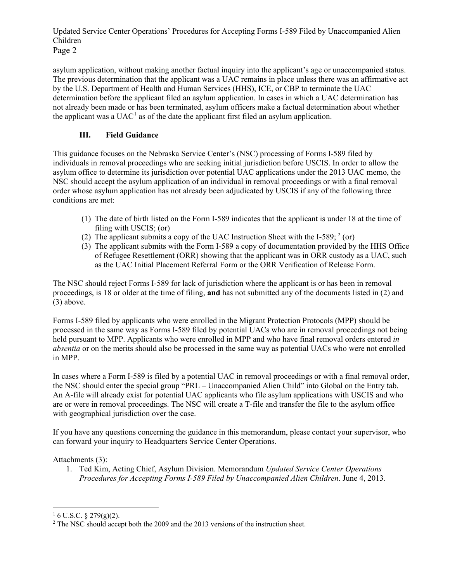Updated Service Center Operations' Procedures for Accepting Forms I-589 Filed by Unaccompanied Alien Children Page 2

asylum application, without making another factual inquiry into the applicant's age or unaccompanied status. The previous determination that the applicant was a UAC remains in place unless there was an affirmative act by the U.S. Department of Health and Human Services (HHS), ICE, or CBP to terminate the UAC determination before the applicant filed an asylum application. In cases in which a UAC determination has not already been made or has been terminated, asylum officers make a factual determination about whether the applicant was a  $UAC<sup>1</sup>$  $UAC<sup>1</sup>$  $UAC<sup>1</sup>$  as of the date the applicant first filed an asylum application.

## **III. Field Guidance**

This guidance focuses on the Nebraska Service Center's (NSC) processing of Forms I-589 filed by individuals in removal proceedings who are seeking initial jurisdiction before USCIS. In order to allow the asylum office to determine its jurisdiction over potential UAC applications under the 2013 UAC memo, the NSC should accept the asylum application of an individual in removal proceedings or with a final removal order whose asylum application has not already been adjudicated by USCIS if any of the following three conditions are met:

- (1) The date of birth listed on the Form I-589 indicates that the applicant is under 18 at the time of filing with USCIS; (or)
- ([2](#page-1-1)) The applicant submits a copy of the UAC Instruction Sheet with the I-589;  $2$  (or)
- (3) The applicant submits with the Form I-589 a copy of documentation provided by the HHS Office of Refugee Resettlement (ORR) showing that the applicant was in ORR custody as a UAC, such as the UAC Initial Placement Referral Form or the ORR Verification of Release Form.

The NSC should reject Forms I-589 for lack of jurisdiction where the applicant is or has been in removal proceedings, is 18 or older at the time of filing, **and** has not submitted any of the documents listed in (2) and (3) above.

Forms I-589 filed by applicants who were enrolled in the Migrant Protection Protocols (MPP) should be processed in the same way as Forms I-589 filed by potential UACs who are in removal proceedings not being held pursuant to MPP. Applicants who were enrolled in MPP and who have final removal orders entered *in absentia* or on the merits should also be processed in the same way as potential UACs who were not enrolled in MPP.

In cases where a Form I-589 is filed by a potential UAC in removal proceedings or with a final removal order, the NSC should enter the special group "PRL – Unaccompanied Alien Child" into Global on the Entry tab. An A-file will already exist for potential UAC applicants who file asylum applications with USCIS and who are or were in removal proceedings. The NSC will create a T-file and transfer the file to the asylum office with geographical jurisdiction over the case.

If you have any questions concerning the guidance in this memorandum, please contact your supervisor, who can forward your inquiry to Headquarters Service Center Operations.

### Attachments (3):

1. Ted Kim, Acting Chief, Asylum Division. Memorandum *Updated Service Center Operations Procedures for Accepting Forms I-589 Filed by Unaccompanied Alien Children*. June 4, 2013.

<span id="page-1-0"></span> $16$  U.S.C. § 279(g)(2).

<span id="page-1-1"></span><sup>&</sup>lt;sup>2</sup> The NSC should accept both the 2009 and the 2013 versions of the instruction sheet.